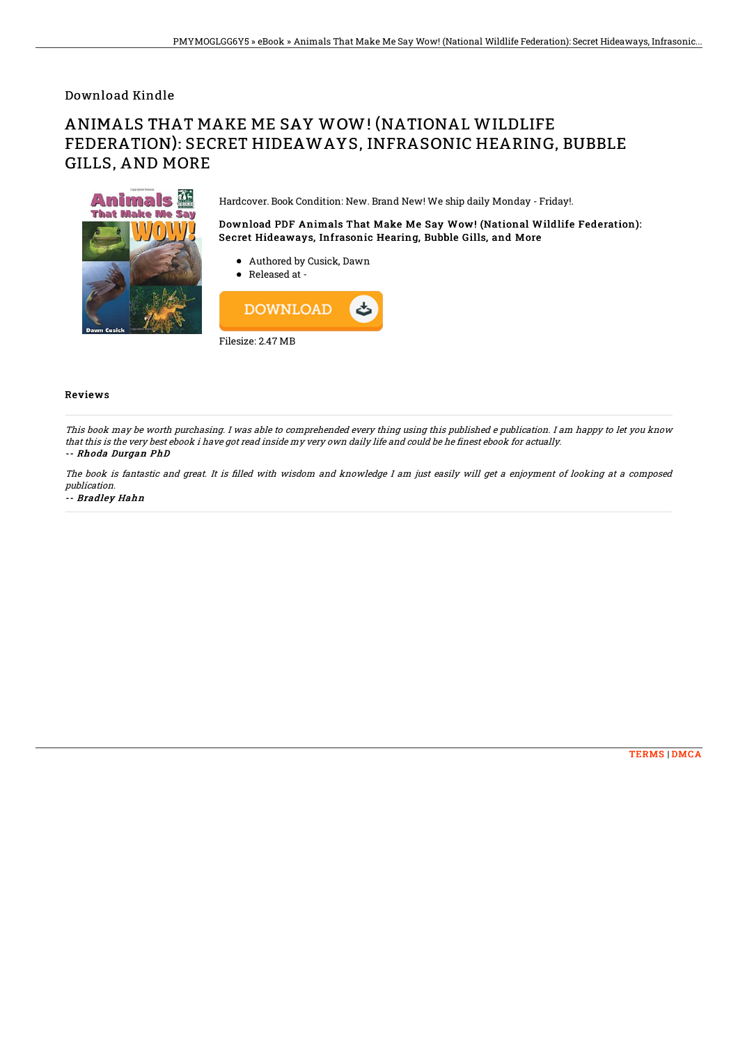## Download Kindle

# ANIMALS THAT MAKE ME SAY WOW! (NATIONAL WILDLIFE FEDERATION): SECRET HIDEAWAYS, INFRASONIC HEARING, BUBBLE GILLS, AND MORE



Hardcover. Book Condition: New. Brand New! We ship daily Monday - Friday!.

### Download PDF Animals That Make Me Say Wow! (National Wildlife Federation): Secret Hideaways, Infrasonic Hearing, Bubble Gills, and More

- Authored by Cusick, Dawn
- Released at -



#### Reviews

This book may be worth purchasing. I was able to comprehended every thing using this published <sup>e</sup> publication. I am happy to let you know that this is the very best ebook i have got read inside my very own daily life and could be he finest ebook for actually. -- Rhoda Durgan PhD

The book is fantastic and great. It is filled with wisdom and knowledge I am just easily will get a enjoyment of looking at a composed publication.

-- Bradley Hahn